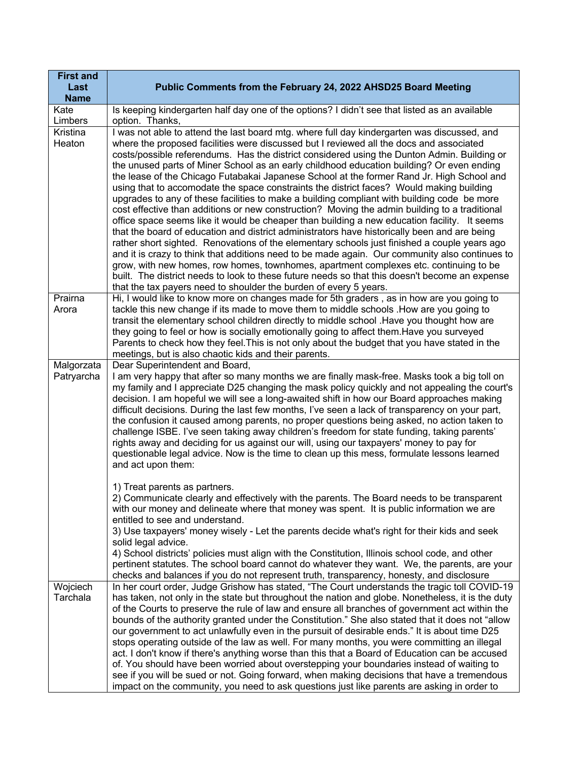| <b>First and</b><br>Last<br><b>Name</b> | Public Comments from the February 24, 2022 AHSD25 Board Meeting                                                                                                                                                                                                                                                                                                                                                                                                                                                                                                                                                                                                                                                                                                                                                                                                                                                                                                                                                                                                                                                                                                                                                                                                                                                                                                                                                                               |
|-----------------------------------------|-----------------------------------------------------------------------------------------------------------------------------------------------------------------------------------------------------------------------------------------------------------------------------------------------------------------------------------------------------------------------------------------------------------------------------------------------------------------------------------------------------------------------------------------------------------------------------------------------------------------------------------------------------------------------------------------------------------------------------------------------------------------------------------------------------------------------------------------------------------------------------------------------------------------------------------------------------------------------------------------------------------------------------------------------------------------------------------------------------------------------------------------------------------------------------------------------------------------------------------------------------------------------------------------------------------------------------------------------------------------------------------------------------------------------------------------------|
| Kate<br>Limbers                         | Is keeping kindergarten half day one of the options? I didn't see that listed as an available<br>option. Thanks,                                                                                                                                                                                                                                                                                                                                                                                                                                                                                                                                                                                                                                                                                                                                                                                                                                                                                                                                                                                                                                                                                                                                                                                                                                                                                                                              |
| Kristina<br>Heaton                      | I was not able to attend the last board mtg. where full day kindergarten was discussed, and<br>where the proposed facilities were discussed but I reviewed all the docs and associated<br>costs/possible referendums. Has the district considered using the Dunton Admin. Building or<br>the unused parts of Miner School as an early childhood education building? Or even ending<br>the lease of the Chicago Futabakai Japanese School at the former Rand Jr. High School and<br>using that to accomodate the space constraints the district faces? Would making building<br>upgrades to any of these facilities to make a building compliant with building code be more<br>cost effective than additions or new construction? Moving the admin building to a traditional<br>office space seems like it would be cheaper than building a new education facility. It seems<br>that the board of education and district administrators have historically been and are being<br>rather short sighted. Renovations of the elementary schools just finished a couple years ago<br>and it is crazy to think that additions need to be made again. Our community also continues to<br>grow, with new homes, row homes, townhomes, apartment complexes etc. continuing to be<br>built. The district needs to look to these future needs so that this doesn't become an expense<br>that the tax payers need to shoulder the burden of every 5 years. |
| Prairna<br>Arora                        | Hi, I would like to know more on changes made for 5th graders, as in how are you going to<br>tackle this new change if its made to move them to middle schools . How are you going to<br>transit the elementary school children directly to middle school . Have you thought how are<br>they going to feel or how is socially emotionally going to affect them. Have you surveyed<br>Parents to check how they feel. This is not only about the budget that you have stated in the<br>meetings, but is also chaotic kids and their parents.                                                                                                                                                                                                                                                                                                                                                                                                                                                                                                                                                                                                                                                                                                                                                                                                                                                                                                   |
| Malgorzata<br>Patryarcha                | Dear Superintendent and Board,<br>I am very happy that after so many months we are finally mask-free. Masks took a big toll on<br>my family and I appreciate D25 changing the mask policy quickly and not appealing the court's<br>decision. I am hopeful we will see a long-awaited shift in how our Board approaches making<br>difficult decisions. During the last few months, I've seen a lack of transparency on your part,<br>the confusion it caused among parents, no proper questions being asked, no action taken to<br>challenge ISBE. I've seen taking away children's freedom for state funding, taking parents'<br>rights away and deciding for us against our will, using our taxpayers' money to pay for<br>questionable legal advice. Now is the time to clean up this mess, formulate lessons learned<br>and act upon them:                                                                                                                                                                                                                                                                                                                                                                                                                                                                                                                                                                                                 |
|                                         | 1) Treat parents as partners.<br>2) Communicate clearly and effectively with the parents. The Board needs to be transparent<br>with our money and delineate where that money was spent. It is public information we are<br>entitled to see and understand.<br>3) Use taxpayers' money wisely - Let the parents decide what's right for their kids and seek<br>solid legal advice.<br>4) School districts' policies must align with the Constitution, Illinois school code, and other<br>pertinent statutes. The school board cannot do whatever they want. We, the parents, are your<br>checks and balances if you do not represent truth, transparency, honesty, and disclosure                                                                                                                                                                                                                                                                                                                                                                                                                                                                                                                                                                                                                                                                                                                                                              |
| Wojciech<br>Tarchala                    | In her court order, Judge Grishow has stated, "The Court understands the tragic toll COVID-19<br>has taken, not only in the state but throughout the nation and globe. Nonetheless, it is the duty<br>of the Courts to preserve the rule of law and ensure all branches of government act within the<br>bounds of the authority granted under the Constitution." She also stated that it does not "allow<br>our government to act unlawfully even in the pursuit of desirable ends." It is about time D25<br>stops operating outside of the law as well. For many months, you were committing an illegal<br>act. I don't know if there's anything worse than this that a Board of Education can be accused<br>of. You should have been worried about overstepping your boundaries instead of waiting to<br>see if you will be sued or not. Going forward, when making decisions that have a tremendous<br>impact on the community, you need to ask questions just like parents are asking in order to                                                                                                                                                                                                                                                                                                                                                                                                                                         |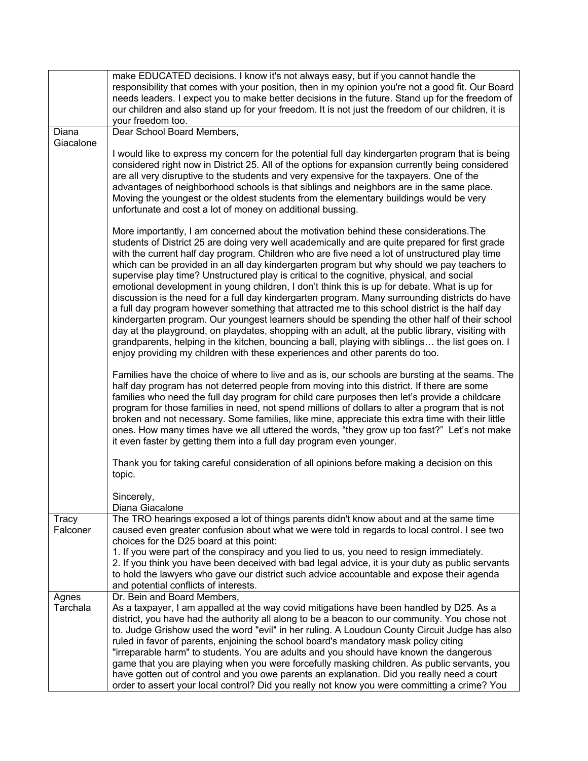|                   | make EDUCATED decisions. I know it's not always easy, but if you cannot handle the<br>responsibility that comes with your position, then in my opinion you're not a good fit. Our Board<br>needs leaders. I expect you to make better decisions in the future. Stand up for the freedom of<br>our children and also stand up for your freedom. It is not just the freedom of our children, it is<br>your freedom too.                                                                                                                                                                                                                                                                                                                                                                                                                                                                                                                                                                                                                                                                                                                                                                                                                                                                                                                                                                                                                                                                                                                                                                                                                                                                                                                                                                                                                                                |
|-------------------|----------------------------------------------------------------------------------------------------------------------------------------------------------------------------------------------------------------------------------------------------------------------------------------------------------------------------------------------------------------------------------------------------------------------------------------------------------------------------------------------------------------------------------------------------------------------------------------------------------------------------------------------------------------------------------------------------------------------------------------------------------------------------------------------------------------------------------------------------------------------------------------------------------------------------------------------------------------------------------------------------------------------------------------------------------------------------------------------------------------------------------------------------------------------------------------------------------------------------------------------------------------------------------------------------------------------------------------------------------------------------------------------------------------------------------------------------------------------------------------------------------------------------------------------------------------------------------------------------------------------------------------------------------------------------------------------------------------------------------------------------------------------------------------------------------------------------------------------------------------------|
| Diana             | Dear School Board Members,                                                                                                                                                                                                                                                                                                                                                                                                                                                                                                                                                                                                                                                                                                                                                                                                                                                                                                                                                                                                                                                                                                                                                                                                                                                                                                                                                                                                                                                                                                                                                                                                                                                                                                                                                                                                                                           |
| Giacalone         | I would like to express my concern for the potential full day kindergarten program that is being<br>considered right now in District 25. All of the options for expansion currently being considered<br>are all very disruptive to the students and very expensive for the taxpayers. One of the<br>advantages of neighborhood schools is that siblings and neighbors are in the same place.<br>Moving the youngest or the oldest students from the elementary buildings would be very<br>unfortunate and cost a lot of money on additional bussing.                                                                                                                                                                                                                                                                                                                                                                                                                                                                                                                                                                                                                                                                                                                                                                                                                                                                                                                                                                                                                                                                                                                                                                                                                                                                                                                 |
|                   | More importantly, I am concerned about the motivation behind these considerations. The<br>students of District 25 are doing very well academically and are quite prepared for first grade<br>with the current half day program. Children who are five need a lot of unstructured play time<br>which can be provided in an all day kindergarten program but why should we pay teachers to<br>supervise play time? Unstructured play is critical to the cognitive, physical, and social<br>emotional development in young children, I don't think this is up for debate. What is up for<br>discussion is the need for a full day kindergarten program. Many surrounding districts do have<br>a full day program however something that attracted me to this school district is the half day<br>kindergarten program. Our youngest learners should be spending the other half of their school<br>day at the playground, on playdates, shopping with an adult, at the public library, visiting with<br>grandparents, helping in the kitchen, bouncing a ball, playing with siblings the list goes on. I<br>enjoy providing my children with these experiences and other parents do too.<br>Families have the choice of where to live and as is, our schools are bursting at the seams. The<br>half day program has not deterred people from moving into this district. If there are some<br>families who need the full day program for child care purposes then let's provide a childcare<br>program for those families in need, not spend millions of dollars to alter a program that is not<br>broken and not necessary. Some families, like mine, appreciate this extra time with their little<br>ones. How many times have we all uttered the words, "they grow up too fast?" Let's not make<br>it even faster by getting them into a full day program even younger. |
|                   | Thank you for taking careful consideration of all opinions before making a decision on this<br>topic.                                                                                                                                                                                                                                                                                                                                                                                                                                                                                                                                                                                                                                                                                                                                                                                                                                                                                                                                                                                                                                                                                                                                                                                                                                                                                                                                                                                                                                                                                                                                                                                                                                                                                                                                                                |
|                   | Sincerely.<br>Diana Giacalone                                                                                                                                                                                                                                                                                                                                                                                                                                                                                                                                                                                                                                                                                                                                                                                                                                                                                                                                                                                                                                                                                                                                                                                                                                                                                                                                                                                                                                                                                                                                                                                                                                                                                                                                                                                                                                        |
| Tracy<br>Falconer | The TRO hearings exposed a lot of things parents didn't know about and at the same time<br>caused even greater confusion about what we were told in regards to local control. I see two<br>choices for the D25 board at this point:<br>1. If you were part of the conspiracy and you lied to us, you need to resign immediately.<br>2. If you think you have been deceived with bad legal advice, it is your duty as public servants<br>to hold the lawyers who gave our district such advice accountable and expose their agenda<br>and potential conflicts of interests.                                                                                                                                                                                                                                                                                                                                                                                                                                                                                                                                                                                                                                                                                                                                                                                                                                                                                                                                                                                                                                                                                                                                                                                                                                                                                           |
| Agnes<br>Tarchala | Dr. Bein and Board Members,<br>As a taxpayer, I am appalled at the way covid mitigations have been handled by D25. As a<br>district, you have had the authority all along to be a beacon to our community. You chose not<br>to. Judge Grishow used the word "evil" in her ruling. A Loudoun County Circuit Judge has also<br>ruled in favor of parents, enjoining the school board's mandatory mask policy citing<br>"irreparable harm" to students. You are adults and you should have known the dangerous<br>game that you are playing when you were forcefully masking children. As public servants, you<br>have gotten out of control and you owe parents an explanation. Did you really need a court<br>order to assert your local control? Did you really not know you were committing a crime? You                                                                                                                                                                                                                                                                                                                                                                                                                                                                                                                                                                                                                                                                                                                                                                                                                                                                                                                                                                                                                                                            |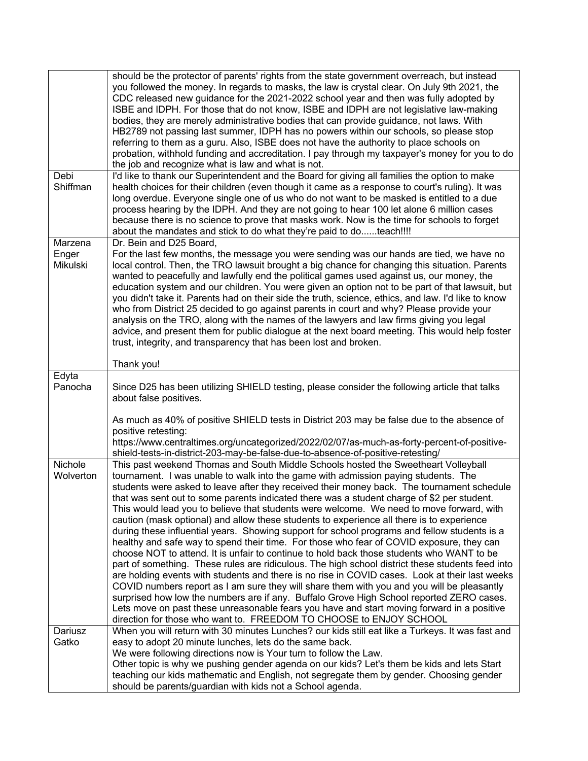|                              | should be the protector of parents' rights from the state government overreach, but instead<br>you followed the money. In regards to masks, the law is crystal clear. On July 9th 2021, the<br>CDC released new guidance for the 2021-2022 school year and then was fully adopted by<br>ISBE and IDPH. For those that do not know, ISBE and IDPH are not legislative law-making<br>bodies, they are merely administrative bodies that can provide guidance, not laws. With<br>HB2789 not passing last summer, IDPH has no powers within our schools, so please stop<br>referring to them as a guru. Also, ISBE does not have the authority to place schools on<br>probation, withhold funding and accreditation. I pay through my taxpayer's money for you to do<br>the job and recognize what is law and what is not.                                                                                                                                                                                                                                                                                                                                                                                                                                                                                                                                                                                                     |
|------------------------------|----------------------------------------------------------------------------------------------------------------------------------------------------------------------------------------------------------------------------------------------------------------------------------------------------------------------------------------------------------------------------------------------------------------------------------------------------------------------------------------------------------------------------------------------------------------------------------------------------------------------------------------------------------------------------------------------------------------------------------------------------------------------------------------------------------------------------------------------------------------------------------------------------------------------------------------------------------------------------------------------------------------------------------------------------------------------------------------------------------------------------------------------------------------------------------------------------------------------------------------------------------------------------------------------------------------------------------------------------------------------------------------------------------------------------|
| Debi<br>Shiffman             | I'd like to thank our Superintendent and the Board for giving all families the option to make<br>health choices for their children (even though it came as a response to court's ruling). It was<br>long overdue. Everyone single one of us who do not want to be masked is entitled to a due<br>process hearing by the IDPH. And they are not going to hear 100 let alone 6 million cases<br>because there is no science to prove that masks work. Now is the time for schools to forget<br>about the mandates and stick to do what they're paid to doteach!!!!                                                                                                                                                                                                                                                                                                                                                                                                                                                                                                                                                                                                                                                                                                                                                                                                                                                           |
| Marzena<br>Enger<br>Mikulski | Dr. Bein and D25 Board,<br>For the last few months, the message you were sending was our hands are tied, we have no<br>local control. Then, the TRO lawsuit brought a big chance for changing this situation. Parents<br>wanted to peacefully and lawfully end the political games used against us, our money, the<br>education system and our children. You were given an option not to be part of that lawsuit, but<br>you didn't take it. Parents had on their side the truth, science, ethics, and law. I'd like to know<br>who from District 25 decided to go against parents in court and why? Please provide your<br>analysis on the TRO, along with the names of the lawyers and law firms giving you legal<br>advice, and present them for public dialogue at the next board meeting. This would help foster<br>trust, integrity, and transparency that has been lost and broken.                                                                                                                                                                                                                                                                                                                                                                                                                                                                                                                                 |
| Edyta                        | Thank you!                                                                                                                                                                                                                                                                                                                                                                                                                                                                                                                                                                                                                                                                                                                                                                                                                                                                                                                                                                                                                                                                                                                                                                                                                                                                                                                                                                                                                 |
| Panocha                      | Since D25 has been utilizing SHIELD testing, please consider the following article that talks<br>about false positives.                                                                                                                                                                                                                                                                                                                                                                                                                                                                                                                                                                                                                                                                                                                                                                                                                                                                                                                                                                                                                                                                                                                                                                                                                                                                                                    |
|                              | As much as 40% of positive SHIELD tests in District 203 may be false due to the absence of<br>positive retesting:<br>https://www.centraltimes.org/uncategorized/2022/02/07/as-much-as-forty-percent-of-positive-<br>shield-tests-in-district-203-may-be-false-due-to-absence-of-positive-retesting/                                                                                                                                                                                                                                                                                                                                                                                                                                                                                                                                                                                                                                                                                                                                                                                                                                                                                                                                                                                                                                                                                                                        |
| Nichole<br>Wolverton         | This past weekend Thomas and South Middle Schools hosted the Sweetheart Volleyball<br>tournament. I was unable to walk into the game with admission paying students. The<br>students were asked to leave after they received their money back. The tournament schedule<br>that was sent out to some parents indicated there was a student charge of \$2 per student.<br>This would lead you to believe that students were welcome. We need to move forward, with<br>caution (mask optional) and allow these students to experience all there is to experience<br>during these influential years. Showing support for school programs and fellow students is a<br>healthy and safe way to spend their time. For those who fear of COVID exposure, they can<br>choose NOT to attend. It is unfair to continue to hold back those students who WANT to be<br>part of something. These rules are ridiculous. The high school district these students feed into<br>are holding events with students and there is no rise in COVID cases. Look at their last weeks<br>COVID numbers report as I am sure they will share them with you and you will be pleasantly<br>surprised how low the numbers are if any. Buffalo Grove High School reported ZERO cases.<br>Lets move on past these unreasonable fears you have and start moving forward in a positive<br>direction for those who want to. FREEDOM TO CHOOSE to ENJOY SCHOOL |
| Dariusz                      | When you will return with 30 minutes Lunches? our kids still eat like a Turkeys. It was fast and                                                                                                                                                                                                                                                                                                                                                                                                                                                                                                                                                                                                                                                                                                                                                                                                                                                                                                                                                                                                                                                                                                                                                                                                                                                                                                                           |
| Gatko                        | easy to adopt 20 minute lunches, lets do the same back.<br>We were following directions now is Your turn to follow the Law.<br>Other topic is why we pushing gender agenda on our kids? Let's them be kids and lets Start<br>teaching our kids mathematic and English, not segregate them by gender. Choosing gender<br>should be parents/guardian with kids not a School agenda.                                                                                                                                                                                                                                                                                                                                                                                                                                                                                                                                                                                                                                                                                                                                                                                                                                                                                                                                                                                                                                          |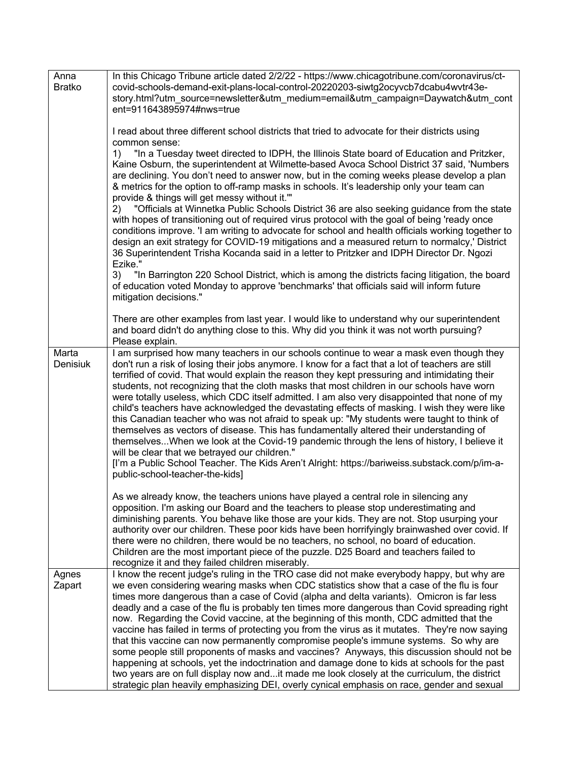| Anna<br><b>Bratko</b> | In this Chicago Tribune article dated 2/2/22 - https://www.chicagotribune.com/coronavirus/ct-<br>covid-schools-demand-exit-plans-local-control-20220203-siwtg2ocyvcb7dcabu4wvtr43e-<br>story.html?utm_source=newsletter&utm_medium=email&utm_campaign=Daywatch&utm_cont<br>ent=911643895974#nws=true                                                                                                                                                                                                                                                                                                                                                                                                                                                                                                                                                                                                                                                                                                                                                                    |
|-----------------------|-------------------------------------------------------------------------------------------------------------------------------------------------------------------------------------------------------------------------------------------------------------------------------------------------------------------------------------------------------------------------------------------------------------------------------------------------------------------------------------------------------------------------------------------------------------------------------------------------------------------------------------------------------------------------------------------------------------------------------------------------------------------------------------------------------------------------------------------------------------------------------------------------------------------------------------------------------------------------------------------------------------------------------------------------------------------------|
|                       | I read about three different school districts that tried to advocate for their districts using<br>common sense:                                                                                                                                                                                                                                                                                                                                                                                                                                                                                                                                                                                                                                                                                                                                                                                                                                                                                                                                                         |
|                       | "In a Tuesday tweet directed to IDPH, the Illinois State board of Education and Pritzker,<br>1)<br>Kaine Osburn, the superintendent at Wilmette-based Avoca School District 37 said, 'Numbers<br>are declining. You don't need to answer now, but in the coming weeks please develop a plan<br>& metrics for the option to off-ramp masks in schools. It's leadership only your team can<br>provide & things will get messy without it."                                                                                                                                                                                                                                                                                                                                                                                                                                                                                                                                                                                                                                |
|                       | "Officials at Winnetka Public Schools District 36 are also seeking guidance from the state<br>2)<br>with hopes of transitioning out of required virus protocol with the goal of being 'ready once<br>conditions improve. 'I am writing to advocate for school and health officials working together to<br>design an exit strategy for COVID-19 mitigations and a measured return to normalcy,' District<br>36 Superintendent Trisha Kocanda said in a letter to Pritzker and IDPH Director Dr. Ngozi                                                                                                                                                                                                                                                                                                                                                                                                                                                                                                                                                                    |
|                       | Ezike."<br>3)<br>"In Barrington 220 School District, which is among the districts facing litigation, the board<br>of education voted Monday to approve 'benchmarks' that officials said will inform future<br>mitigation decisions."                                                                                                                                                                                                                                                                                                                                                                                                                                                                                                                                                                                                                                                                                                                                                                                                                                    |
|                       | There are other examples from last year. I would like to understand why our superintendent<br>and board didn't do anything close to this. Why did you think it was not worth pursuing?<br>Please explain.                                                                                                                                                                                                                                                                                                                                                                                                                                                                                                                                                                                                                                                                                                                                                                                                                                                               |
| Marta<br>Denisiuk     | I am surprised how many teachers in our schools continue to wear a mask even though they<br>don't run a risk of losing their jobs anymore. I know for a fact that a lot of teachers are still<br>terrified of covid. That would explain the reason they kept pressuring and intimidating their<br>students, not recognizing that the cloth masks that most children in our schools have worn<br>were totally useless, which CDC itself admitted. I am also very disappointed that none of my<br>child's teachers have acknowledged the devastating effects of masking. I wish they were like<br>this Canadian teacher who was not afraid to speak up: "My students were taught to think of<br>themselves as vectors of disease. This has fundamentally altered their understanding of<br>themselvesWhen we look at the Covid-19 pandemic through the lens of history, I believe it<br>will be clear that we betrayed our children."<br>[I'm a Public School Teacher. The Kids Aren't Alright: https://bariweiss.substack.com/p/im-a-<br>public-school-teacher-the-kids] |
|                       | As we already know, the teachers unions have played a central role in silencing any<br>opposition. I'm asking our Board and the teachers to please stop underestimating and<br>diminishing parents. You behave like those are your kids. They are not. Stop usurping your<br>authority over our children. These poor kids have been horrifyingly brainwashed over covid. If<br>there were no children, there would be no teachers, no school, no board of education.<br>Children are the most important piece of the puzzle. D25 Board and teachers failed to<br>recognize it and they failed children miserably.                                                                                                                                                                                                                                                                                                                                                                                                                                                       |
| Agnes<br>Zapart       | I know the recent judge's ruling in the TRO case did not make everybody happy, but why are<br>we even considering wearing masks when CDC statistics show that a case of the flu is four<br>times more dangerous than a case of Covid (alpha and delta variants). Omicron is far less<br>deadly and a case of the flu is probably ten times more dangerous than Covid spreading right<br>now. Regarding the Covid vaccine, at the beginning of this month, CDC admitted that the<br>vaccine has failed in terms of protecting you from the virus as it mutates. They're now saying<br>that this vaccine can now permanently compromise people's immune systems. So why are<br>some people still proponents of masks and vaccines? Anyways, this discussion should not be<br>happening at schools, yet the indoctrination and damage done to kids at schools for the past<br>two years are on full display now andit made me look closely at the curriculum, the district<br>strategic plan heavily emphasizing DEI, overly cynical emphasis on race, gender and sexual   |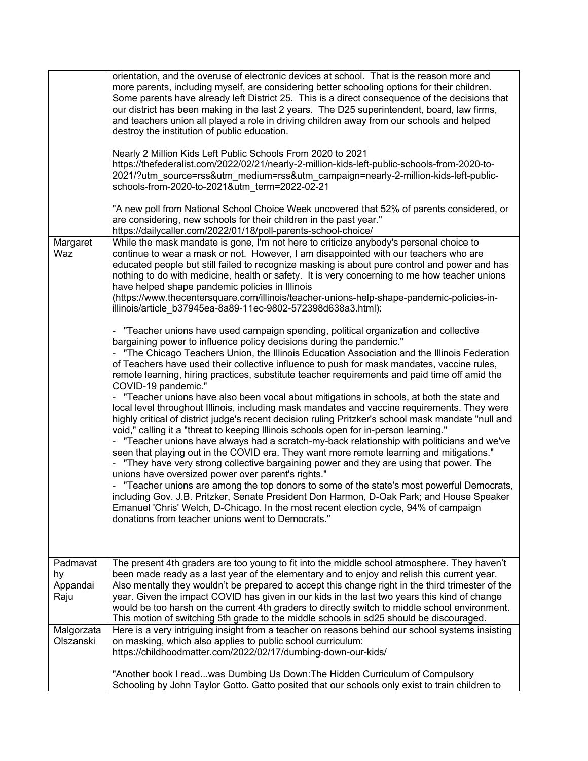| Margaret<br>Waz                    | orientation, and the overuse of electronic devices at school. That is the reason more and<br>more parents, including myself, are considering better schooling options for their children.<br>Some parents have already left District 25. This is a direct consequence of the decisions that<br>our district has been making in the last 2 years. The D25 superintendent, board, law firms,<br>and teachers union all played a role in driving children away from our schools and helped<br>destroy the institution of public education.<br>Nearly 2 Million Kids Left Public Schools From 2020 to 2021<br>https://thefederalist.com/2022/02/21/nearly-2-million-kids-left-public-schools-from-2020-to-<br>2021/?utm_source=rss&utm_medium=rss&utm_campaign=nearly-2-million-kids-left-public-<br>schools-from-2020-to-2021&utm_term=2022-02-21<br>"A new poll from National School Choice Week uncovered that 52% of parents considered, or<br>are considering, new schools for their children in the past year."<br>https://dailycaller.com/2022/01/18/poll-parents-school-choice/<br>While the mask mandate is gone, I'm not here to criticize anybody's personal choice to<br>continue to wear a mask or not. However, I am disappointed with our teachers who are<br>educated people but still failed to recognize masking is about pure control and power and has<br>nothing to do with medicine, health or safety. It is very concerning to me how teacher unions<br>have helped shape pandemic policies in Illinois<br>(https://www.thecentersquare.com/illinois/teacher-unions-help-shape-pandemic-policies-in-<br>illinois/article b37945ea-8a89-11ec-9802-572398d638a3.html):<br>"Teacher unions have used campaign spending, political organization and collective<br>bargaining power to influence policy decisions during the pandemic."<br>"The Chicago Teachers Union, the Illinois Education Association and the Illinois Federation<br>of Teachers have used their collective influence to push for mask mandates, vaccine rules,<br>remote learning, hiring practices, substitute teacher requirements and paid time off amid the<br>COVID-19 pandemic."<br>- "Teacher unions have also been vocal about mitigations in schools, at both the state and<br>local level throughout Illinois, including mask mandates and vaccine requirements. They were<br>highly critical of district judge's recent decision ruling Pritzker's school mask mandate "null and<br>void," calling it a "threat to keeping Illinois schools open for in-person learning."<br>"Teacher unions have always had a scratch-my-back relationship with politicians and we've<br>seen that playing out in the COVID era. They want more remote learning and mitigations."<br>"They have very strong collective bargaining power and they are using that power. The<br>unions have oversized power over parent's rights."<br>"Teacher unions are among the top donors to some of the state's most powerful Democrats,<br>including Gov. J.B. Pritzker, Senate President Don Harmon, D-Oak Park; and House Speaker<br>Emanuel 'Chris' Welch, D-Chicago. In the most recent election cycle, 94% of campaign<br>donations from teacher unions went to Democrats." |
|------------------------------------|-------------------------------------------------------------------------------------------------------------------------------------------------------------------------------------------------------------------------------------------------------------------------------------------------------------------------------------------------------------------------------------------------------------------------------------------------------------------------------------------------------------------------------------------------------------------------------------------------------------------------------------------------------------------------------------------------------------------------------------------------------------------------------------------------------------------------------------------------------------------------------------------------------------------------------------------------------------------------------------------------------------------------------------------------------------------------------------------------------------------------------------------------------------------------------------------------------------------------------------------------------------------------------------------------------------------------------------------------------------------------------------------------------------------------------------------------------------------------------------------------------------------------------------------------------------------------------------------------------------------------------------------------------------------------------------------------------------------------------------------------------------------------------------------------------------------------------------------------------------------------------------------------------------------------------------------------------------------------------------------------------------------------------------------------------------------------------------------------------------------------------------------------------------------------------------------------------------------------------------------------------------------------------------------------------------------------------------------------------------------------------------------------------------------------------------------------------------------------------------------------------------------------------------------------------------------------------------------------------------------------------------------------------------------------------------------------------------------------------------------------------------------------------------------------------------------------------------------------------------------------------------------------------------------------------------------------------------------------------------------------------------------------------------------------------------------------------------------------------------------------------------------------------------------------------------------------------------------------------------------------------|
| Padmavat<br>hy<br>Appandai<br>Raju | The present 4th graders are too young to fit into the middle school atmosphere. They haven't<br>been made ready as a last year of the elementary and to enjoy and relish this current year.<br>Also mentally they wouldn't be prepared to accept this change right in the third trimester of the<br>year. Given the impact COVID has given in our kids in the last two years this kind of change<br>would be too harsh on the current 4th graders to directly switch to middle school environment.<br>This motion of switching 5th grade to the middle schools in sd25 should be discouraged.                                                                                                                                                                                                                                                                                                                                                                                                                                                                                                                                                                                                                                                                                                                                                                                                                                                                                                                                                                                                                                                                                                                                                                                                                                                                                                                                                                                                                                                                                                                                                                                                                                                                                                                                                                                                                                                                                                                                                                                                                                                                                                                                                                                                                                                                                                                                                                                                                                                                                                                                                                                                                                                         |
| Malgorzata<br>Olszanski            | Here is a very intriguing insight from a teacher on reasons behind our school systems insisting<br>on masking, which also applies to public school curriculum:<br>https://childhoodmatter.com/2022/02/17/dumbing-down-our-kids/<br>"Another book I readwas Dumbing Us Down: The Hidden Curriculum of Compulsory<br>Schooling by John Taylor Gotto. Gatto posited that our schools only exist to train children to                                                                                                                                                                                                                                                                                                                                                                                                                                                                                                                                                                                                                                                                                                                                                                                                                                                                                                                                                                                                                                                                                                                                                                                                                                                                                                                                                                                                                                                                                                                                                                                                                                                                                                                                                                                                                                                                                                                                                                                                                                                                                                                                                                                                                                                                                                                                                                                                                                                                                                                                                                                                                                                                                                                                                                                                                                     |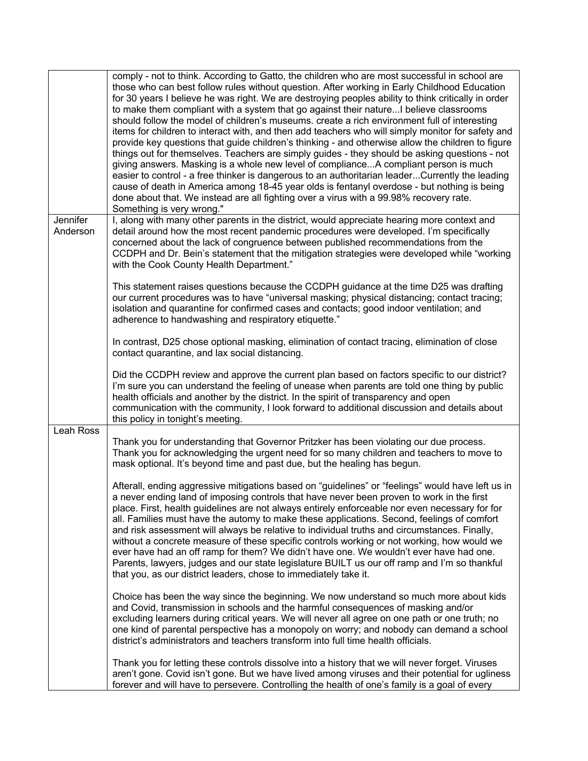|                      | comply - not to think. According to Gatto, the children who are most successful in school are<br>those who can best follow rules without question. After working in Early Childhood Education<br>for 30 years I believe he was right. We are destroying peoples ability to think critically in order<br>to make them compliant with a system that go against their natureI believe classrooms<br>should follow the model of children's museums. create a rich environment full of interesting<br>items for children to interact with, and then add teachers who will simply monitor for safety and<br>provide key questions that guide children's thinking - and otherwise allow the children to figure<br>things out for themselves. Teachers are simply guides - they should be asking questions - not<br>giving answers. Masking is a whole new level of complianceA compliant person is much<br>easier to control - a free thinker is dangerous to an authoritarian leaderCurrently the leading<br>cause of death in America among 18-45 year olds is fentanyl overdose - but nothing is being<br>done about that. We instead are all fighting over a virus with a 99.98% recovery rate.<br>Something is very wrong." |
|----------------------|---------------------------------------------------------------------------------------------------------------------------------------------------------------------------------------------------------------------------------------------------------------------------------------------------------------------------------------------------------------------------------------------------------------------------------------------------------------------------------------------------------------------------------------------------------------------------------------------------------------------------------------------------------------------------------------------------------------------------------------------------------------------------------------------------------------------------------------------------------------------------------------------------------------------------------------------------------------------------------------------------------------------------------------------------------------------------------------------------------------------------------------------------------------------------------------------------------------------------|
| Jennifer<br>Anderson | I, along with many other parents in the district, would appreciate hearing more context and<br>detail around how the most recent pandemic procedures were developed. I'm specifically<br>concerned about the lack of congruence between published recommendations from the<br>CCDPH and Dr. Bein's statement that the mitigation strategies were developed while "working<br>with the Cook County Health Department."                                                                                                                                                                                                                                                                                                                                                                                                                                                                                                                                                                                                                                                                                                                                                                                                     |
|                      | This statement raises questions because the CCDPH guidance at the time D25 was drafting<br>our current procedures was to have "universal masking; physical distancing; contact tracing;<br>isolation and quarantine for confirmed cases and contacts; good indoor ventilation; and<br>adherence to handwashing and respiratory etiquette."                                                                                                                                                                                                                                                                                                                                                                                                                                                                                                                                                                                                                                                                                                                                                                                                                                                                                |
|                      | In contrast, D25 chose optional masking, elimination of contact tracing, elimination of close<br>contact quarantine, and lax social distancing.                                                                                                                                                                                                                                                                                                                                                                                                                                                                                                                                                                                                                                                                                                                                                                                                                                                                                                                                                                                                                                                                           |
|                      | Did the CCDPH review and approve the current plan based on factors specific to our district?<br>I'm sure you can understand the feeling of unease when parents are told one thing by public<br>health officials and another by the district. In the spirit of transparency and open<br>communication with the community, I look forward to additional discussion and details about<br>this policy in tonight's meeting.                                                                                                                                                                                                                                                                                                                                                                                                                                                                                                                                                                                                                                                                                                                                                                                                   |
| Leah Ross            | Thank you for understanding that Governor Pritzker has been violating our due process.<br>Thank you for acknowledging the urgent need for so many children and teachers to move to<br>mask optional. It's beyond time and past due, but the healing has begun.                                                                                                                                                                                                                                                                                                                                                                                                                                                                                                                                                                                                                                                                                                                                                                                                                                                                                                                                                            |
|                      | Afterall, ending aggressive mitigations based on "guidelines" or "feelings" would have left us in<br>a never ending land of imposing controls that have never been proven to work in the first<br>place. First, health guidelines are not always entirely enforceable nor even necessary for for<br>all. Families must have the automy to make these applications. Second, feelings of comfort<br>and risk assessment will always be relative to individual truths and circumstances. Finally,<br>without a concrete measure of these specific controls working or not working, how would we<br>ever have had an off ramp for them? We didn't have one. We wouldn't ever have had one.<br>Parents, lawyers, judges and our state legislature BUILT us our off ramp and I'm so thankful<br>that you, as our district leaders, chose to immediately take it.                                                                                                                                                                                                                                                                                                                                                                |
|                      | Choice has been the way since the beginning. We now understand so much more about kids<br>and Covid, transmission in schools and the harmful consequences of masking and/or<br>excluding learners during critical years. We will never all agree on one path or one truth; no<br>one kind of parental perspective has a monopoly on worry; and nobody can demand a school<br>district's administrators and teachers transform into full time health officials.                                                                                                                                                                                                                                                                                                                                                                                                                                                                                                                                                                                                                                                                                                                                                            |
|                      | Thank you for letting these controls dissolve into a history that we will never forget. Viruses<br>aren't gone. Covid isn't gone. But we have lived among viruses and their potential for ugliness<br>forever and will have to persevere. Controlling the health of one's family is a goal of every                                                                                                                                                                                                                                                                                                                                                                                                                                                                                                                                                                                                                                                                                                                                                                                                                                                                                                                       |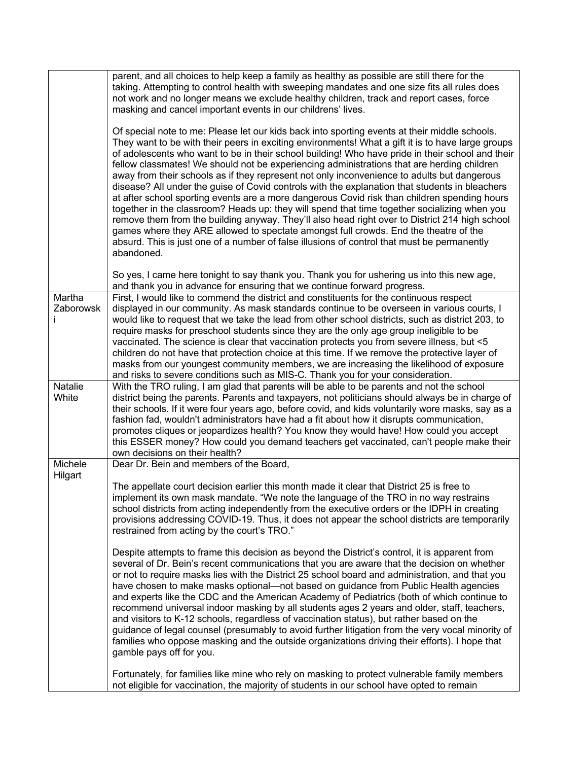|                     | parent, and all choices to help keep a family as healthy as possible are still there for the<br>taking. Attempting to control health with sweeping mandates and one size fits all rules does<br>not work and no longer means we exclude healthy children, track and report cases, force<br>masking and cancel important events in our childrens' lives.                                                                                                                                                                                                                                                                                                                                                                                                                                                                                                                                                                                                                                                                                                                                                      |
|---------------------|--------------------------------------------------------------------------------------------------------------------------------------------------------------------------------------------------------------------------------------------------------------------------------------------------------------------------------------------------------------------------------------------------------------------------------------------------------------------------------------------------------------------------------------------------------------------------------------------------------------------------------------------------------------------------------------------------------------------------------------------------------------------------------------------------------------------------------------------------------------------------------------------------------------------------------------------------------------------------------------------------------------------------------------------------------------------------------------------------------------|
|                     | Of special note to me: Please let our kids back into sporting events at their middle schools.<br>They want to be with their peers in exciting environments! What a gift it is to have large groups<br>of adolescents who want to be in their school building! Who have pride in their school and their<br>fellow classmates! We should not be experiencing administrations that are herding children<br>away from their schools as if they represent not only inconvenience to adults but dangerous<br>disease? All under the guise of Covid controls with the explanation that students in bleachers<br>at after school sporting events are a more dangerous Covid risk than children spending hours<br>together in the classroom? Heads up: they will spend that time together socializing when you<br>remove them from the building anyway. They'll also head right over to District 214 high school<br>games where they ARE allowed to spectate amongst full crowds. End the theatre of the<br>absurd. This is just one of a number of false illusions of control that must be permanently<br>abandoned. |
|                     | So yes, I came here tonight to say thank you. Thank you for ushering us into this new age,<br>and thank you in advance for ensuring that we continue forward progress.                                                                                                                                                                                                                                                                                                                                                                                                                                                                                                                                                                                                                                                                                                                                                                                                                                                                                                                                       |
| Martha<br>Zaborowsk | First, I would like to commend the district and constituents for the continuous respect<br>displayed in our community. As mask standards continue to be overseen in various courts, I<br>would like to request that we take the lead from other school districts, such as district 203, to<br>require masks for preschool students since they are the only age group ineligible to be<br>vaccinated. The science is clear that vaccination protects you from severe illness, but <5<br>children do not have that protection choice at this time. If we remove the protective layer of<br>masks from our youngest community members, we are increasing the likelihood of exposure<br>and risks to severe conditions such as MIS-C. Thank you for your consideration.                                                                                                                                                                                                                                                                                                                                          |
| Natalie<br>White    | With the TRO ruling, I am glad that parents will be able to be parents and not the school<br>district being the parents. Parents and taxpayers, not politicians should always be in charge of<br>their schools. If it were four years ago, before covid, and kids voluntarily wore masks, say as a<br>fashion fad, wouldn't administrators have had a fit about how it disrupts communication,<br>promotes cliques or jeopardizes health? You know they would have! How could you accept<br>this ESSER money? How could you demand teachers get vaccinated, can't people make their<br>own decisions on their health?                                                                                                                                                                                                                                                                                                                                                                                                                                                                                        |
| Michele<br>Hilgart  | Dear Dr. Bein and members of the Board,                                                                                                                                                                                                                                                                                                                                                                                                                                                                                                                                                                                                                                                                                                                                                                                                                                                                                                                                                                                                                                                                      |
|                     | The appellate court decision earlier this month made it clear that District 25 is free to<br>implement its own mask mandate. "We note the language of the TRO in no way restrains<br>school districts from acting independently from the executive orders or the IDPH in creating<br>provisions addressing COVID-19. Thus, it does not appear the school districts are temporarily<br>restrained from acting by the court's TRO."<br>Despite attempts to frame this decision as beyond the District's control, it is apparent from<br>several of Dr. Bein's recent communications that you are aware that the decision on whether<br>or not to require masks lies with the District 25 school board and administration, and that you                                                                                                                                                                                                                                                                                                                                                                         |
|                     | have chosen to make masks optional—not based on guidance from Public Health agencies<br>and experts like the CDC and the American Academy of Pediatrics (both of which continue to<br>recommend universal indoor masking by all students ages 2 years and older, staff, teachers,<br>and visitors to K-12 schools, regardless of vaccination status), but rather based on the<br>guidance of legal counsel (presumably to avoid further litigation from the very vocal minority of<br>families who oppose masking and the outside organizations driving their efforts). I hope that<br>gamble pays off for you.                                                                                                                                                                                                                                                                                                                                                                                                                                                                                              |
|                     | Fortunately, for families like mine who rely on masking to protect vulnerable family members<br>not eligible for vaccination, the majority of students in our school have opted to remain                                                                                                                                                                                                                                                                                                                                                                                                                                                                                                                                                                                                                                                                                                                                                                                                                                                                                                                    |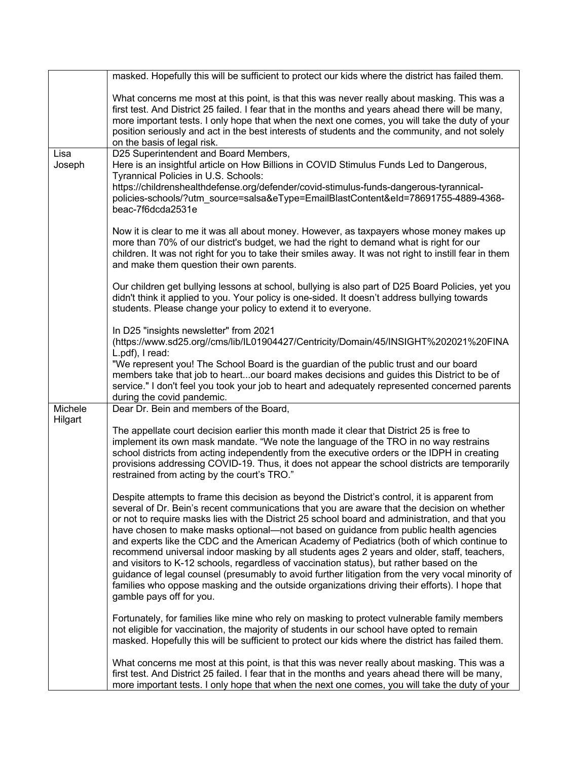|                | masked. Hopefully this will be sufficient to protect our kids where the district has failed them.                                                                                                                                                                                                                                                                                                                                                                                                                                                                                                                                                                                                                                                                                                                                                                                                                  |
|----------------|--------------------------------------------------------------------------------------------------------------------------------------------------------------------------------------------------------------------------------------------------------------------------------------------------------------------------------------------------------------------------------------------------------------------------------------------------------------------------------------------------------------------------------------------------------------------------------------------------------------------------------------------------------------------------------------------------------------------------------------------------------------------------------------------------------------------------------------------------------------------------------------------------------------------|
|                | What concerns me most at this point, is that this was never really about masking. This was a<br>first test. And District 25 failed. I fear that in the months and years ahead there will be many,<br>more important tests. I only hope that when the next one comes, you will take the duty of your<br>position seriously and act in the best interests of students and the community, and not solely<br>on the basis of legal risk.                                                                                                                                                                                                                                                                                                                                                                                                                                                                               |
| Lisa<br>Joseph | D25 Superintendent and Board Members,<br>Here is an insightful article on How Billions in COVID Stimulus Funds Led to Dangerous,<br>Tyrannical Policies in U.S. Schools:<br>https://childrenshealthdefense.org/defender/covid-stimulus-funds-dangerous-tyrannical-<br>policies-schools/?utm_source=salsa&eType=EmailBlastContent&eId=78691755-4889-4368-<br>beac-7f6dcda2531e                                                                                                                                                                                                                                                                                                                                                                                                                                                                                                                                      |
|                | Now it is clear to me it was all about money. However, as taxpayers whose money makes up<br>more than 70% of our district's budget, we had the right to demand what is right for our<br>children. It was not right for you to take their smiles away. It was not right to instill fear in them<br>and make them question their own parents.                                                                                                                                                                                                                                                                                                                                                                                                                                                                                                                                                                        |
|                | Our children get bullying lessons at school, bullying is also part of D25 Board Policies, yet you<br>didn't think it applied to you. Your policy is one-sided. It doesn't address bullying towards<br>students. Please change your policy to extend it to everyone.                                                                                                                                                                                                                                                                                                                                                                                                                                                                                                                                                                                                                                                |
|                | In D25 "insights newsletter" from 2021<br>(https://www.sd25.org//cms/lib/IL01904427/Centricity/Domain/45/INSIGHT%202021%20FINA<br>L.pdf), I read:                                                                                                                                                                                                                                                                                                                                                                                                                                                                                                                                                                                                                                                                                                                                                                  |
|                | "We represent you! The School Board is the guardian of the public trust and our board<br>members take that job to heartour board makes decisions and guides this District to be of<br>service." I don't feel you took your job to heart and adequately represented concerned parents<br>during the covid pandemic.                                                                                                                                                                                                                                                                                                                                                                                                                                                                                                                                                                                                 |
| Michele        | Dear Dr. Bein and members of the Board,                                                                                                                                                                                                                                                                                                                                                                                                                                                                                                                                                                                                                                                                                                                                                                                                                                                                            |
| Hilgart        | The appellate court decision earlier this month made it clear that District 25 is free to<br>implement its own mask mandate. "We note the language of the TRO in no way restrains<br>school districts from acting independently from the executive orders or the IDPH in creating<br>provisions addressing COVID-19. Thus, it does not appear the school districts are temporarily<br>restrained from acting by the court's TRO."                                                                                                                                                                                                                                                                                                                                                                                                                                                                                  |
|                | Despite attempts to frame this decision as beyond the District's control, it is apparent from<br>several of Dr. Bein's recent communications that you are aware that the decision on whether<br>or not to require masks lies with the District 25 school board and administration, and that you<br>have chosen to make masks optional—not based on guidance from public health agencies<br>and experts like the CDC and the American Academy of Pediatrics (both of which continue to<br>recommend universal indoor masking by all students ages 2 years and older, staff, teachers,<br>and visitors to K-12 schools, regardless of vaccination status), but rather based on the<br>guidance of legal counsel (presumably to avoid further litigation from the very vocal minority of<br>families who oppose masking and the outside organizations driving their efforts). I hope that<br>gamble pays off for you. |
|                | Fortunately, for families like mine who rely on masking to protect vulnerable family members<br>not eligible for vaccination, the majority of students in our school have opted to remain<br>masked. Hopefully this will be sufficient to protect our kids where the district has failed them.                                                                                                                                                                                                                                                                                                                                                                                                                                                                                                                                                                                                                     |
|                | What concerns me most at this point, is that this was never really about masking. This was a<br>first test. And District 25 failed. I fear that in the months and years ahead there will be many,<br>more important tests. I only hope that when the next one comes, you will take the duty of your                                                                                                                                                                                                                                                                                                                                                                                                                                                                                                                                                                                                                |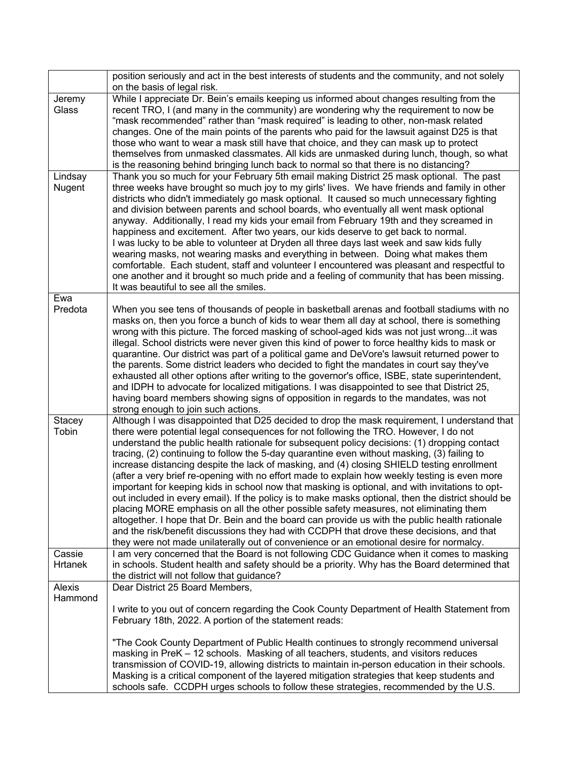|                          | position seriously and act in the best interests of students and the community, and not solely<br>on the basis of legal risk.                                                                                                                                                                                                                                                                                                                                                                                                                                                                                                                                                                                                                                                                                                                                                                                                                                                                                                                                                                                                                                                  |
|--------------------------|--------------------------------------------------------------------------------------------------------------------------------------------------------------------------------------------------------------------------------------------------------------------------------------------------------------------------------------------------------------------------------------------------------------------------------------------------------------------------------------------------------------------------------------------------------------------------------------------------------------------------------------------------------------------------------------------------------------------------------------------------------------------------------------------------------------------------------------------------------------------------------------------------------------------------------------------------------------------------------------------------------------------------------------------------------------------------------------------------------------------------------------------------------------------------------|
| Jeremy<br>Glass          | While I appreciate Dr. Bein's emails keeping us informed about changes resulting from the<br>recent TRO, I (and many in the community) are wondering why the requirement to now be<br>"mask recommended" rather than "mask required" is leading to other, non-mask related<br>changes. One of the main points of the parents who paid for the lawsuit against D25 is that<br>those who want to wear a mask still have that choice, and they can mask up to protect<br>themselves from unmasked classmates. All kids are unmasked during lunch, though, so what<br>is the reasoning behind bringing lunch back to normal so that there is no distancing?                                                                                                                                                                                                                                                                                                                                                                                                                                                                                                                        |
| Lindsay<br>Nugent        | Thank you so much for your February 5th email making District 25 mask optional. The past<br>three weeks have brought so much joy to my girls' lives. We have friends and family in other<br>districts who didn't immediately go mask optional. It caused so much unnecessary fighting<br>and division between parents and school boards, who eventually all went mask optional<br>anyway. Additionally, I read my kids your email from February 19th and they screamed in<br>happiness and excitement. After two years, our kids deserve to get back to normal.<br>I was lucky to be able to volunteer at Dryden all three days last week and saw kids fully<br>wearing masks, not wearing masks and everything in between. Doing what makes them<br>comfortable. Each student, staff and volunteer I encountered was pleasant and respectful to<br>one another and it brought so much pride and a feeling of community that has been missing.<br>It was beautiful to see all the smiles.                                                                                                                                                                                      |
| Ewa<br>Predota           | When you see tens of thousands of people in basketball arenas and football stadiums with no<br>masks on, then you force a bunch of kids to wear them all day at school, there is something<br>wrong with this picture. The forced masking of school-aged kids was not just wrong it was<br>illegal. School districts were never given this kind of power to force healthy kids to mask or<br>quarantine. Our district was part of a political game and DeVore's lawsuit returned power to<br>the parents. Some district leaders who decided to fight the mandates in court say they've<br>exhausted all other options after writing to the governor's office, ISBE, state superintendent,<br>and IDPH to advocate for localized mitigations. I was disappointed to see that District 25,<br>having board members showing signs of opposition in regards to the mandates, was not<br>strong enough to join such actions.                                                                                                                                                                                                                                                        |
| <b>Stacey</b><br>Tobin   | Although I was disappointed that D25 decided to drop the mask requirement, I understand that<br>there were potential legal consequences for not following the TRO. However, I do not<br>understand the public health rationale for subsequent policy decisions: (1) dropping contact<br>tracing, (2) continuing to follow the 5-day quarantine even without masking, (3) failing to<br>increase distancing despite the lack of masking, and (4) closing SHIELD testing enrollment<br>(after a very brief re-opening with no effort made to explain how weekly testing is even more<br>important for keeping kids in school now that masking is optional, and with invitations to opt-<br>out included in every email). If the policy is to make masks optional, then the district should be<br>placing MORE emphasis on all the other possible safety measures, not eliminating them<br>altogether. I hope that Dr. Bein and the board can provide us with the public health rationale<br>and the risk/benefit discussions they had with CCDPH that drove these decisions, and that<br>they were not made unilaterally out of convenience or an emotional desire for normalcy. |
| Cassie<br><b>Hrtanek</b> | I am very concerned that the Board is not following CDC Guidance when it comes to masking<br>in schools. Student health and safety should be a priority. Why has the Board determined that<br>the district will not follow that guidance?                                                                                                                                                                                                                                                                                                                                                                                                                                                                                                                                                                                                                                                                                                                                                                                                                                                                                                                                      |
| Alexis<br>Hammond        | Dear District 25 Board Members,<br>I write to you out of concern regarding the Cook County Department of Health Statement from<br>February 18th, 2022. A portion of the statement reads:<br>"The Cook County Department of Public Health continues to strongly recommend universal<br>masking in PreK - 12 schools. Masking of all teachers, students, and visitors reduces<br>transmission of COVID-19, allowing districts to maintain in-person education in their schools.                                                                                                                                                                                                                                                                                                                                                                                                                                                                                                                                                                                                                                                                                                  |
|                          | Masking is a critical component of the layered mitigation strategies that keep students and<br>schools safe. CCDPH urges schools to follow these strategies, recommended by the U.S.                                                                                                                                                                                                                                                                                                                                                                                                                                                                                                                                                                                                                                                                                                                                                                                                                                                                                                                                                                                           |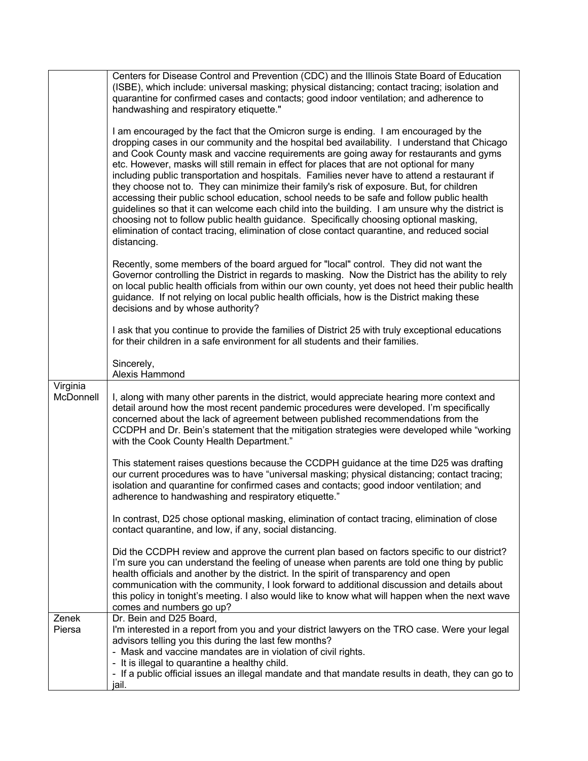|                       | Centers for Disease Control and Prevention (CDC) and the Illinois State Board of Education<br>(ISBE), which include: universal masking; physical distancing; contact tracing; isolation and<br>quarantine for confirmed cases and contacts; good indoor ventilation; and adherence to<br>handwashing and respiratory etiquette."<br>I am encouraged by the fact that the Omicron surge is ending. I am encouraged by the<br>dropping cases in our community and the hospital bed availability. I understand that Chicago<br>and Cook County mask and vaccine requirements are going away for restaurants and gyms<br>etc. However, masks will still remain in effect for places that are not optional for many<br>including public transportation and hospitals. Families never have to attend a restaurant if<br>they choose not to. They can minimize their family's risk of exposure. But, for children<br>accessing their public school education, school needs to be safe and follow public health<br>guidelines so that it can welcome each child into the building. I am unsure why the district is<br>choosing not to follow public health guidance. Specifically choosing optional masking,<br>elimination of contact tracing, elimination of close contact quarantine, and reduced social<br>distancing.<br>Recently, some members of the board argued for "local" control. They did not want the<br>Governor controlling the District in regards to masking. Now the District has the ability to rely<br>on local public health officials from within our own county, yet does not heed their public health<br>guidance. If not relying on local public health officials, how is the District making these<br>decisions and by whose authority? |
|-----------------------|------------------------------------------------------------------------------------------------------------------------------------------------------------------------------------------------------------------------------------------------------------------------------------------------------------------------------------------------------------------------------------------------------------------------------------------------------------------------------------------------------------------------------------------------------------------------------------------------------------------------------------------------------------------------------------------------------------------------------------------------------------------------------------------------------------------------------------------------------------------------------------------------------------------------------------------------------------------------------------------------------------------------------------------------------------------------------------------------------------------------------------------------------------------------------------------------------------------------------------------------------------------------------------------------------------------------------------------------------------------------------------------------------------------------------------------------------------------------------------------------------------------------------------------------------------------------------------------------------------------------------------------------------------------------------------------------------------------------------------------------------------|
|                       | I ask that you continue to provide the families of District 25 with truly exceptional educations<br>for their children in a safe environment for all students and their families.                                                                                                                                                                                                                                                                                                                                                                                                                                                                                                                                                                                                                                                                                                                                                                                                                                                                                                                                                                                                                                                                                                                                                                                                                                                                                                                                                                                                                                                                                                                                                                          |
|                       | Sincerely,<br>Alexis Hammond                                                                                                                                                                                                                                                                                                                                                                                                                                                                                                                                                                                                                                                                                                                                                                                                                                                                                                                                                                                                                                                                                                                                                                                                                                                                                                                                                                                                                                                                                                                                                                                                                                                                                                                               |
| Virginia<br>McDonnell | I, along with many other parents in the district, would appreciate hearing more context and<br>detail around how the most recent pandemic procedures were developed. I'm specifically<br>concerned about the lack of agreement between published recommendations from the<br>CCDPH and Dr. Bein's statement that the mitigation strategies were developed while "working<br>with the Cook County Health Department."                                                                                                                                                                                                                                                                                                                                                                                                                                                                                                                                                                                                                                                                                                                                                                                                                                                                                                                                                                                                                                                                                                                                                                                                                                                                                                                                       |
|                       | This statement raises questions because the CCDPH guidance at the time D25 was drafting<br>our current procedures was to have "universal masking; physical distancing; contact tracing;<br>isolation and quarantine for confirmed cases and contacts; good indoor ventilation; and<br>adherence to handwashing and respiratory etiquette."                                                                                                                                                                                                                                                                                                                                                                                                                                                                                                                                                                                                                                                                                                                                                                                                                                                                                                                                                                                                                                                                                                                                                                                                                                                                                                                                                                                                                 |
|                       | In contrast, D25 chose optional masking, elimination of contact tracing, elimination of close<br>contact quarantine, and low, if any, social distancing.                                                                                                                                                                                                                                                                                                                                                                                                                                                                                                                                                                                                                                                                                                                                                                                                                                                                                                                                                                                                                                                                                                                                                                                                                                                                                                                                                                                                                                                                                                                                                                                                   |
|                       | Did the CCDPH review and approve the current plan based on factors specific to our district?<br>I'm sure you can understand the feeling of unease when parents are told one thing by public<br>health officials and another by the district. In the spirit of transparency and open<br>communication with the community, I look forward to additional discussion and details about<br>this policy in tonight's meeting. I also would like to know what will happen when the next wave<br>comes and numbers go up?                                                                                                                                                                                                                                                                                                                                                                                                                                                                                                                                                                                                                                                                                                                                                                                                                                                                                                                                                                                                                                                                                                                                                                                                                                          |
| Zenek<br>Piersa       | Dr. Bein and D25 Board,<br>I'm interested in a report from you and your district lawyers on the TRO case. Were your legal<br>advisors telling you this during the last few months?<br>- Mask and vaccine mandates are in violation of civil rights.<br>- It is illegal to quarantine a healthy child.<br>- If a public official issues an illegal mandate and that mandate results in death, they can go to<br>jail.                                                                                                                                                                                                                                                                                                                                                                                                                                                                                                                                                                                                                                                                                                                                                                                                                                                                                                                                                                                                                                                                                                                                                                                                                                                                                                                                       |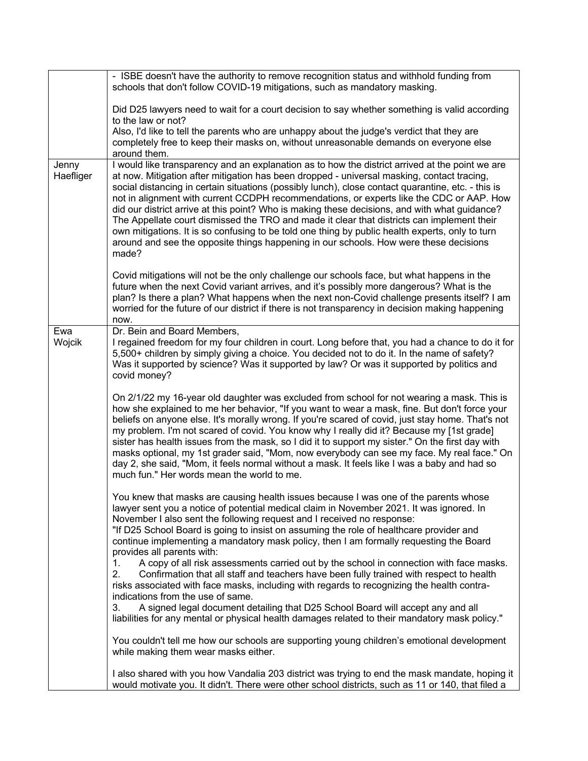|                    | - ISBE doesn't have the authority to remove recognition status and withhold funding from<br>schools that don't follow COVID-19 mitigations, such as mandatory masking.                                                                                                                                                                                                                                                                                                                                                                                                                                                                                                                                                                                                                              |
|--------------------|-----------------------------------------------------------------------------------------------------------------------------------------------------------------------------------------------------------------------------------------------------------------------------------------------------------------------------------------------------------------------------------------------------------------------------------------------------------------------------------------------------------------------------------------------------------------------------------------------------------------------------------------------------------------------------------------------------------------------------------------------------------------------------------------------------|
|                    | Did D25 lawyers need to wait for a court decision to say whether something is valid according<br>to the law or not?                                                                                                                                                                                                                                                                                                                                                                                                                                                                                                                                                                                                                                                                                 |
|                    | Also, I'd like to tell the parents who are unhappy about the judge's verdict that they are<br>completely free to keep their masks on, without unreasonable demands on everyone else<br>around them.                                                                                                                                                                                                                                                                                                                                                                                                                                                                                                                                                                                                 |
| Jenny<br>Haefliger | I would like transparency and an explanation as to how the district arrived at the point we are<br>at now. Mitigation after mitigation has been dropped - universal masking, contact tracing,<br>social distancing in certain situations (possibly lunch), close contact quarantine, etc. - this is<br>not in alignment with current CCDPH recommendations, or experts like the CDC or AAP. How<br>did our district arrive at this point? Who is making these decisions, and with what guidance?<br>The Appellate court dismissed the TRO and made it clear that districts can implement their<br>own mitigations. It is so confusing to be told one thing by public health experts, only to turn<br>around and see the opposite things happening in our schools. How were these decisions<br>made? |
|                    | Covid mitigations will not be the only challenge our schools face, but what happens in the<br>future when the next Covid variant arrives, and it's possibly more dangerous? What is the<br>plan? Is there a plan? What happens when the next non-Covid challenge presents itself? I am<br>worried for the future of our district if there is not transparency in decision making happening<br>now.                                                                                                                                                                                                                                                                                                                                                                                                  |
| Ewa<br>Wojcik      | Dr. Bein and Board Members,<br>I regained freedom for my four children in court. Long before that, you had a chance to do it for<br>5,500+ children by simply giving a choice. You decided not to do it. In the name of safety?<br>Was it supported by science? Was it supported by law? Or was it supported by politics and<br>covid money?                                                                                                                                                                                                                                                                                                                                                                                                                                                        |
|                    | On 2/1/22 my 16-year old daughter was excluded from school for not wearing a mask. This is<br>how she explained to me her behavior, "If you want to wear a mask, fine. But don't force your<br>beliefs on anyone else. It's morally wrong. If you're scared of covid, just stay home. That's not<br>my problem. I'm not scared of covid. You know why I really did it? Because my [1st grade]<br>sister has health issues from the mask, so I did it to support my sister." On the first day with<br>masks optional, my 1st grader said, "Mom, now everybody can see my face. My real face." On<br>day 2, she said, "Mom, it feels normal without a mask. It feels like I was a baby and had so<br>much fun." Her words mean the world to me.                                                       |
|                    | You knew that masks are causing health issues because I was one of the parents whose<br>lawyer sent you a notice of potential medical claim in November 2021. It was ignored. In<br>November I also sent the following request and I received no response:<br>"If D25 School Board is going to insist on assuming the role of healthcare provider and<br>continue implementing a mandatory mask policy, then I am formally requesting the Board<br>provides all parents with:                                                                                                                                                                                                                                                                                                                       |
|                    | A copy of all risk assessments carried out by the school in connection with face masks.<br>1.<br>2.<br>Confirmation that all staff and teachers have been fully trained with respect to health<br>risks associated with face masks, including with regards to recognizing the health contra-<br>indications from the use of same.<br>A signed legal document detailing that D25 School Board will accept any and all<br>3.                                                                                                                                                                                                                                                                                                                                                                          |
|                    | liabilities for any mental or physical health damages related to their mandatory mask policy."<br>You couldn't tell me how our schools are supporting young children's emotional development<br>while making them wear masks either.                                                                                                                                                                                                                                                                                                                                                                                                                                                                                                                                                                |
|                    | I also shared with you how Vandalia 203 district was trying to end the mask mandate, hoping it<br>would motivate you. It didn't. There were other school districts, such as 11 or 140, that filed a                                                                                                                                                                                                                                                                                                                                                                                                                                                                                                                                                                                                 |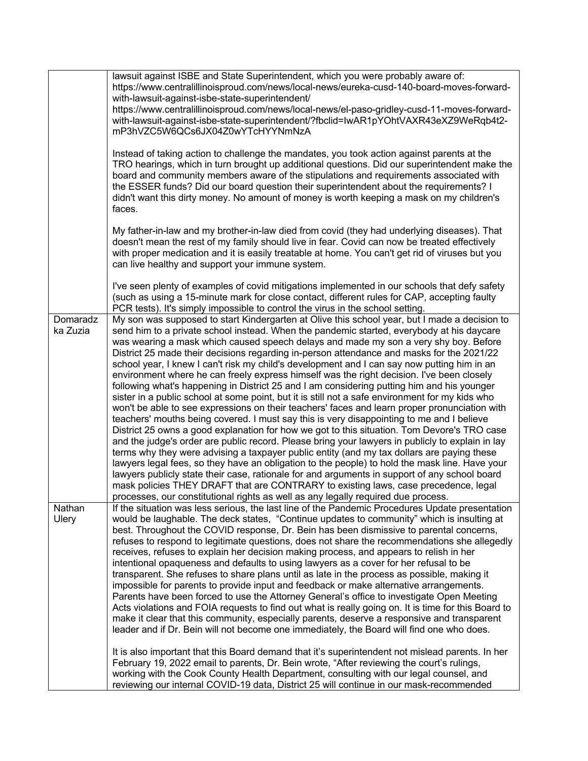|                      | lawsuit against ISBE and State Superintendent, which you were probably aware of:<br>https://www.centralillinoisproud.com/news/local-news/eureka-cusd-140-board-moves-forward-<br>with-lawsuit-against-isbe-state-superintendent/<br>https://www.centralillinoisproud.com/news/local-news/el-paso-gridley-cusd-11-moves-forward-<br>with-lawsuit-against-isbe-state-superintendent/?fbclid=lwAR1pYOhtVAXR43eXZ9WeRqb4t2-<br>mP3hVZC5W6QCs6JX04Z0wYTcHYYNmNzA                                                                                                                                                                                                                                                                                                                                                                                                                                                                                                                                                                                                                                                                                                                                                                                                                                                                                                                                                                                                                                                                                                                                                                                                |
|----------------------|------------------------------------------------------------------------------------------------------------------------------------------------------------------------------------------------------------------------------------------------------------------------------------------------------------------------------------------------------------------------------------------------------------------------------------------------------------------------------------------------------------------------------------------------------------------------------------------------------------------------------------------------------------------------------------------------------------------------------------------------------------------------------------------------------------------------------------------------------------------------------------------------------------------------------------------------------------------------------------------------------------------------------------------------------------------------------------------------------------------------------------------------------------------------------------------------------------------------------------------------------------------------------------------------------------------------------------------------------------------------------------------------------------------------------------------------------------------------------------------------------------------------------------------------------------------------------------------------------------------------------------------------------------|
|                      | Instead of taking action to challenge the mandates, you took action against parents at the<br>TRO hearings, which in turn brought up additional questions. Did our superintendent make the<br>board and community members aware of the stipulations and requirements associated with<br>the ESSER funds? Did our board question their superintendent about the requirements? I<br>didn't want this dirty money. No amount of money is worth keeping a mask on my children's<br>faces.                                                                                                                                                                                                                                                                                                                                                                                                                                                                                                                                                                                                                                                                                                                                                                                                                                                                                                                                                                                                                                                                                                                                                                      |
|                      | My father-in-law and my brother-in-law died from covid (they had underlying diseases). That<br>doesn't mean the rest of my family should live in fear. Covid can now be treated effectively<br>with proper medication and it is easily treatable at home. You can't get rid of viruses but you<br>can live healthy and support your immune system.                                                                                                                                                                                                                                                                                                                                                                                                                                                                                                                                                                                                                                                                                                                                                                                                                                                                                                                                                                                                                                                                                                                                                                                                                                                                                                         |
|                      | I've seen plenty of examples of covid mitigations implemented in our schools that defy safety<br>(such as using a 15-minute mark for close contact, different rules for CAP, accepting faulty<br>PCR tests). It's simply impossible to control the virus in the school setting.                                                                                                                                                                                                                                                                                                                                                                                                                                                                                                                                                                                                                                                                                                                                                                                                                                                                                                                                                                                                                                                                                                                                                                                                                                                                                                                                                                            |
| Domaradz<br>ka Zuzia | My son was supposed to start Kindergarten at Olive this school year, but I made a decision to<br>send him to a private school instead. When the pandemic started, everybody at his daycare<br>was wearing a mask which caused speech delays and made my son a very shy boy. Before<br>District 25 made their decisions regarding in-person attendance and masks for the 2021/22<br>school year, I knew I can't risk my child's development and I can say now putting him in an<br>environment where he can freely express himself was the right decision. I've been closely<br>following what's happening in District 25 and I am considering putting him and his younger<br>sister in a public school at some point, but it is still not a safe environment for my kids who<br>won't be able to see expressions on their teachers' faces and learn proper pronunciation with<br>teachers' mouths being covered. I must say this is very disappointing to me and I believe<br>District 25 owns a good explanation for how we got to this situation. Tom Devore's TRO case<br>and the judge's order are public record. Please bring your lawyers in publicly to explain in lay<br>terms why they were advising a taxpayer public entity (and my tax dollars are paying these<br>lawyers legal fees, so they have an obligation to the people) to hold the mask line. Have your<br>lawyers publicly state their case, rationale for and arguments in support of any school board<br>mask policies THEY DRAFT that are CONTRARY to existing laws, case precedence, legal<br>processes, our constitutional rights as well as any legally required due process. |
| Nathan<br>Ulery      | If the situation was less serious, the last line of the Pandemic Procedures Update presentation<br>would be laughable. The deck states, "Continue updates to community" which is insulting at<br>best. Throughout the COVID response, Dr. Bein has been dismissive to parental concerns,<br>refuses to respond to legitimate questions, does not share the recommendations she allegedly<br>receives, refuses to explain her decision making process, and appears to relish in her<br>intentional opaqueness and defaults to using lawyers as a cover for her refusal to be<br>transparent. She refuses to share plans until as late in the process as possible, making it<br>impossible for parents to provide input and feedback or make alternative arrangements.<br>Parents have been forced to use the Attorney General's office to investigate Open Meeting<br>Acts violations and FOIA requests to find out what is really going on. It is time for this Board to<br>make it clear that this community, especially parents, deserve a responsive and transparent<br>leader and if Dr. Bein will not become one immediately, the Board will find one who does.                                                                                                                                                                                                                                                                                                                                                                                                                                                                                       |
|                      | It is also important that this Board demand that it's superintendent not mislead parents. In her<br>February 19, 2022 email to parents, Dr. Bein wrote, "After reviewing the court's rulings,<br>working with the Cook County Health Department, consulting with our legal counsel, and<br>reviewing our internal COVID-19 data, District 25 will continue in our mask-recommended                                                                                                                                                                                                                                                                                                                                                                                                                                                                                                                                                                                                                                                                                                                                                                                                                                                                                                                                                                                                                                                                                                                                                                                                                                                                         |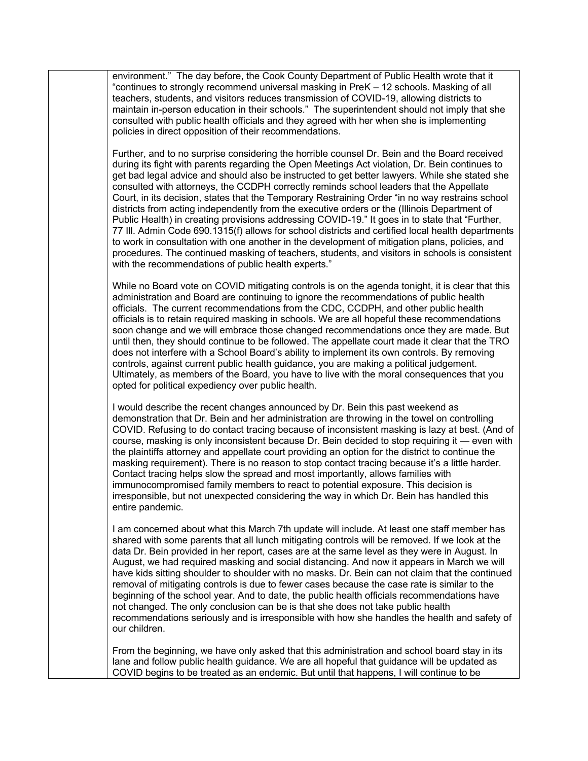environment." The day before, the Cook County Department of Public Health wrote that it "continues to strongly recommend universal masking in PreK – 12 schools. Masking of all teachers, students, and visitors reduces transmission of COVID-19, allowing districts to maintain in-person education in their schools." The superintendent should not imply that she consulted with public health officials and they agreed with her when she is implementing policies in direct opposition of their recommendations.

Further, and to no surprise considering the horrible counsel Dr. Bein and the Board received during its fight with parents regarding the Open Meetings Act violation, Dr. Bein continues to get bad legal advice and should also be instructed to get better lawyers. While she stated she consulted with attorneys, the CCDPH correctly reminds school leaders that the Appellate Court, in its decision, states that the Temporary Restraining Order "in no way restrains school districts from acting independently from the executive orders or the (Illinois Department of Public Health) in creating provisions addressing COVID-19." It goes in to state that "Further, 77 Ill. Admin Code 690.1315(f) allows for school districts and certified local health departments to work in consultation with one another in the development of mitigation plans, policies, and procedures. The continued masking of teachers, students, and visitors in schools is consistent with the recommendations of public health experts."

While no Board vote on COVID mitigating controls is on the agenda tonight, it is clear that this administration and Board are continuing to ignore the recommendations of public health officials. The current recommendations from the CDC, CCDPH, and other public health officials is to retain required masking in schools. We are all hopeful these recommendations soon change and we will embrace those changed recommendations once they are made. But until then, they should continue to be followed. The appellate court made it clear that the TRO does not interfere with a School Board's ability to implement its own controls. By removing controls, against current public health guidance, you are making a political judgement. Ultimately, as members of the Board, you have to live with the moral consequences that you opted for political expediency over public health.

I would describe the recent changes announced by Dr. Bein this past weekend as demonstration that Dr. Bein and her administration are throwing in the towel on controlling COVID. Refusing to do contact tracing because of inconsistent masking is lazy at best. (And of course, masking is only inconsistent because Dr. Bein decided to stop requiring it — even with the plaintiffs attorney and appellate court providing an option for the district to continue the masking requirement). There is no reason to stop contact tracing because it's a little harder. Contact tracing helps slow the spread and most importantly, allows families with immunocompromised family members to react to potential exposure. This decision is irresponsible, but not unexpected considering the way in which Dr. Bein has handled this entire pandemic.

I am concerned about what this March 7th update will include. At least one staff member has shared with some parents that all lunch mitigating controls will be removed. If we look at the data Dr. Bein provided in her report, cases are at the same level as they were in August. In August, we had required masking and social distancing. And now it appears in March we will have kids sitting shoulder to shoulder with no masks. Dr. Bein can not claim that the continued removal of mitigating controls is due to fewer cases because the case rate is similar to the beginning of the school year. And to date, the public health officials recommendations have not changed. The only conclusion can be is that she does not take public health recommendations seriously and is irresponsible with how she handles the health and safety of our children.

From the beginning, we have only asked that this administration and school board stay in its lane and follow public health guidance. We are all hopeful that guidance will be updated as COVID begins to be treated as an endemic. But until that happens, I will continue to be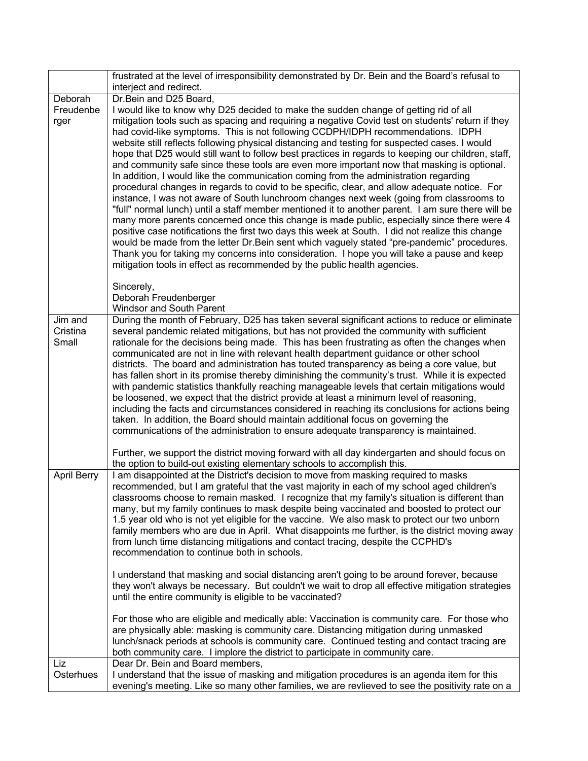|                    | frustrated at the level of irresponsibility demonstrated by Dr. Bein and the Board's refusal to<br>interject and redirect.                                                                       |
|--------------------|--------------------------------------------------------------------------------------------------------------------------------------------------------------------------------------------------|
| Deborah            | Dr.Bein and D25 Board,                                                                                                                                                                           |
| Freudenbe          | I would like to know why D25 decided to make the sudden change of getting rid of all                                                                                                             |
| rger               | mitigation tools such as spacing and requiring a negative Covid test on students' return if they                                                                                                 |
|                    | had covid-like symptoms. This is not following CCDPH/IDPH recommendations. IDPH                                                                                                                  |
|                    | website still reflects following physical distancing and testing for suspected cases. I would                                                                                                    |
|                    | hope that D25 would still want to follow best practices in regards to keeping our children, staff,<br>and community safe since these tools are even more important now that masking is optional. |
|                    | In addition, I would like the communication coming from the administration regarding                                                                                                             |
|                    | procedural changes in regards to covid to be specific, clear, and allow adequate notice. For                                                                                                     |
|                    | instance, I was not aware of South lunchroom changes next week (going from classrooms to                                                                                                         |
|                    | "full" normal lunch) until a staff member mentioned it to another parent. I am sure there will be                                                                                                |
|                    | many more parents concerned once this change is made public, especially since there were 4                                                                                                       |
|                    | positive case notifications the first two days this week at South. I did not realize this change<br>would be made from the letter Dr. Bein sent which vaguely stated "pre-pandemic" procedures.  |
|                    | Thank you for taking my concerns into consideration. I hope you will take a pause and keep                                                                                                       |
|                    | mitigation tools in effect as recommended by the public health agencies.                                                                                                                         |
|                    |                                                                                                                                                                                                  |
|                    | Sincerely,<br>Deborah Freudenberger                                                                                                                                                              |
|                    | Windsor and South Parent                                                                                                                                                                         |
| Jim and            | During the month of February, D25 has taken several significant actions to reduce or eliminate                                                                                                   |
| Cristina<br>Small  | several pandemic related mitigations, but has not provided the community with sufficient<br>rationale for the decisions being made. This has been frustrating as often the changes when          |
|                    | communicated are not in line with relevant health department guidance or other school                                                                                                            |
|                    | districts. The board and administration has touted transparency as being a core value, but                                                                                                       |
|                    | has fallen short in its promise thereby diminishing the community's trust. While it is expected                                                                                                  |
|                    | with pandemic statistics thankfully reaching manageable levels that certain mitigations would                                                                                                    |
|                    | be loosened, we expect that the district provide at least a minimum level of reasoning,<br>including the facts and circumstances considered in reaching its conclusions for actions being        |
|                    | taken. In addition, the Board should maintain additional focus on governing the                                                                                                                  |
|                    | communications of the administration to ensure adequate transparency is maintained.                                                                                                              |
|                    |                                                                                                                                                                                                  |
|                    | Further, we support the district moving forward with all day kindergarten and should focus on<br>the option to build-out existing elementary schools to accomplish this.                         |
| <b>April Berry</b> | I am disappointed at the District's decision to move from masking required to masks                                                                                                              |
|                    | recommended, but I am grateful that the vast majority in each of my school aged children's                                                                                                       |
|                    | classrooms choose to remain masked. I recognize that my family's situation is different than<br>many, but my family continues to mask despite being vaccinated and boosted to protect our        |
|                    | 1.5 year old who is not yet eligible for the vaccine. We also mask to protect our two unborn                                                                                                     |
|                    | family members who are due in April. What disappoints me further, is the district moving away                                                                                                    |
|                    | from lunch time distancing mitigations and contact tracing, despite the CCPHD's                                                                                                                  |
|                    | recommendation to continue both in schools.                                                                                                                                                      |
|                    | I understand that masking and social distancing aren't going to be around forever, because                                                                                                       |
|                    | they won't always be necessary. But couldn't we wait to drop all effective mitigation strategies                                                                                                 |
|                    | until the entire community is eligible to be vaccinated?                                                                                                                                         |
|                    | For those who are eligible and medically able: Vaccination is community care. For those who                                                                                                      |
|                    | are physically able: masking is community care. Distancing mitigation during unmasked                                                                                                            |
|                    | lunch/snack periods at schools is community care. Continued testing and contact tracing are                                                                                                      |
| Liz                | both community care. I implore the district to participate in community care.<br>Dear Dr. Bein and Board members,                                                                                |
| Osterhues          | I understand that the issue of masking and mitigation procedures is an agenda item for this                                                                                                      |
|                    | evening's meeting. Like so many other families, we are revlieved to see the positivity rate on a                                                                                                 |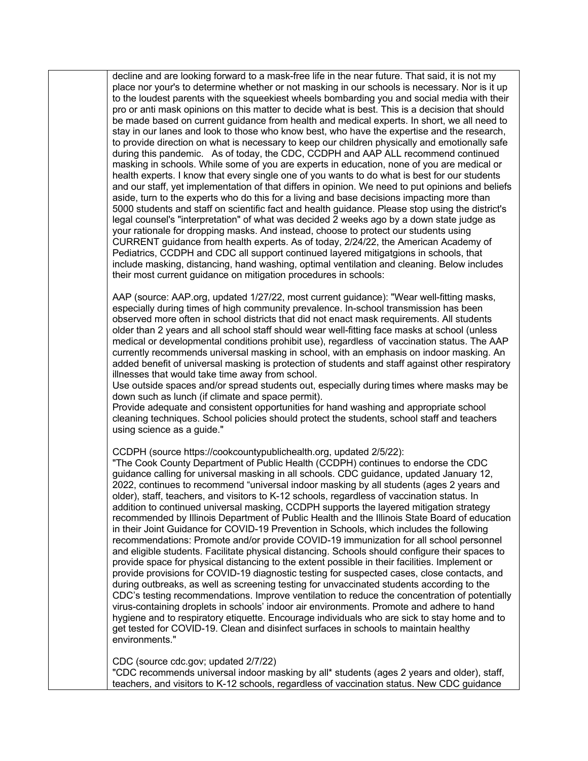decline and are looking forward to a mask-free life in the near future. That said, it is not my place nor your's to determine whether or not masking in our schools is necessary. Nor is it up to the loudest parents with the squeekiest wheels bombarding you and social media with their pro or anti mask opinions on this matter to decide what is best. This is a decision that should be made based on current guidance from health and medical experts. In short, we all need to stay in our lanes and look to those who know best, who have the expertise and the research, to provide direction on what is necessary to keep our children physically and emotionally safe during this pandemic. As of today, the CDC, CCDPH and AAP ALL recommend continued masking in schools. While some of you are experts in education, none of you are medical or health experts. I know that every single one of you wants to do what is best for our students and our staff, yet implementation of that differs in opinion. We need to put opinions and beliefs aside, turn to the experts who do this for a living and base decisions impacting more than 5000 students and staff on scientific fact and health guidance. Please stop using the district's legal counsel's "interpretation" of what was decided 2 weeks ago by a down state judge as your rationale for dropping masks. And instead, choose to protect our students using CURRENT guidance from health experts. As of today, 2/24/22, the American Academy of Pediatrics, CCDPH and CDC all support continued layered mitigatgions in schools, that include masking, distancing, hand washing, optimal ventilation and cleaning. Below includes their most current guidance on mitigation procedures in schools:

AAP (source: AAP.org, updated 1/27/22, most current guidance): "Wear well-fitting masks, especially during times of high community prevalence. In-school transmission has been observed more often in school districts that did not enact mask requirements. All students older than 2 years and all school staff should wear well-fitting face masks at school (unless medical or developmental conditions prohibit use), regardless  of vaccination status. The AAP currently recommends universal masking in school, with an emphasis on indoor masking. An added benefit of universal masking is protection of students and staff against other respiratory illnesses that would take time away from school.

Use outside spaces and/or spread students out, especially during times where masks may be down such as lunch (if climate and space permit).

Provide adequate and consistent opportunities for hand washing and appropriate school cleaning techniques. School policies should protect the students, school staff and teachers using science as a guide."

CCDPH (source https://cookcountypublichealth.org, updated 2/5/22):

"The Cook County Department of Public Health (CCDPH) continues to endorse the CDC guidance calling for universal masking in all schools. CDC guidance, updated January 12, 2022, continues to recommend "universal indoor masking by all students (ages 2 years and older), staff, teachers, and visitors to K-12 schools, regardless of vaccination status. In addition to continued universal masking, CCDPH supports the layered mitigation strategy recommended by Illinois Department of Public Health and the Illinois State Board of education in their Joint Guidance for COVID-19 Prevention in Schools, which includes the following recommendations: Promote and/or provide COVID-19 immunization for all school personnel and eligible students. Facilitate physical distancing. Schools should configure their spaces to provide space for physical distancing to the extent possible in their facilities. Implement or provide provisions for COVID-19 diagnostic testing for suspected cases, close contacts, and during outbreaks, as well as screening testing for unvaccinated students according to the CDC's testing recommendations. Improve ventilation to reduce the concentration of potentially virus-containing droplets in schools' indoor air environments. Promote and adhere to hand hygiene and to respiratory etiquette. Encourage individuals who are sick to stay home and to get tested for COVID-19. Clean and disinfect surfaces in schools to maintain healthy environments."

CDC (source cdc.gov; updated 2/7/22)

"CDC recommends universal indoor masking by all\* students (ages 2 years and older), staff, teachers, and visitors to K-12 schools, regardless of vaccination status. New CDC guidance